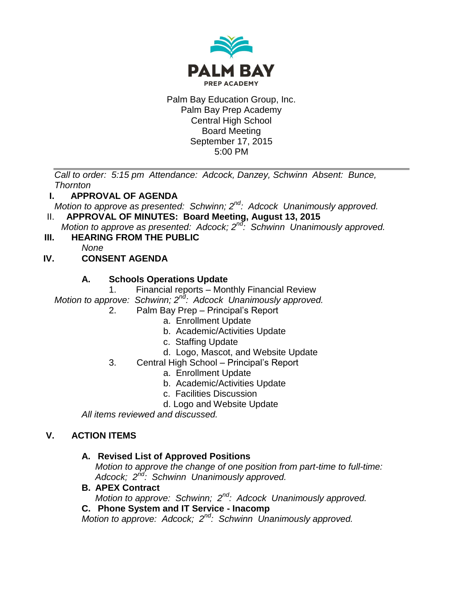

### Palm Bay Education Group, Inc. Palm Bay Prep Academy Central High School Board Meeting September 17, 2015 5:00 PM

*Call to order: 5:15 pm Attendance: Adcock, Danzey, Schwinn Absent: Bunce, Thornton*

## **I. APPROVAL OF AGENDA**

*Motion to approve as presented: Schwinn; 2nd: Adcock Unanimously approved.*

II. **APPROVAL OF MINUTES: Board Meeting, August 13, 2015**

*Motion to approve as presented: Adcock; 2nd: Schwinn Unanimously approved.*

**III. HEARING FROM THE PUBLIC**

*None*

# **IV. CONSENT AGENDA**

## **A. Schools Operations Update**

1. Financial reports – Monthly Financial Review

*Motion to approve: Schwinn; 2nd: Adcock Unanimously approved.*

- 2. Palm Bay Prep Principal's Report
	- a. Enrollment Update
	- b. Academic/Activities Update
	- c. Staffing Update
	- d. Logo, Mascot, and Website Update
- 3. Central High School Principal's Report
	- a. Enrollment Update
	- b. Academic/Activities Update
	- c. Facilities Discussion
	- d. Logo and Website Update

*All items reviewed and discussed.*

## **V. ACTION ITEMS**

## **A. Revised List of Approved Positions**

*Motion to approve the change of one position from part-time to full-time: Adcock; 2nd: Schwinn Unanimously approved.*

**B. APEX Contract**

*Motion to approve: Schwinn; 2nd: Adcock Unanimously approved.*

**C. Phone System and IT Service - Inacomp**

*Motion to approve: Adcock; 2nd: Schwinn Unanimously approved.*